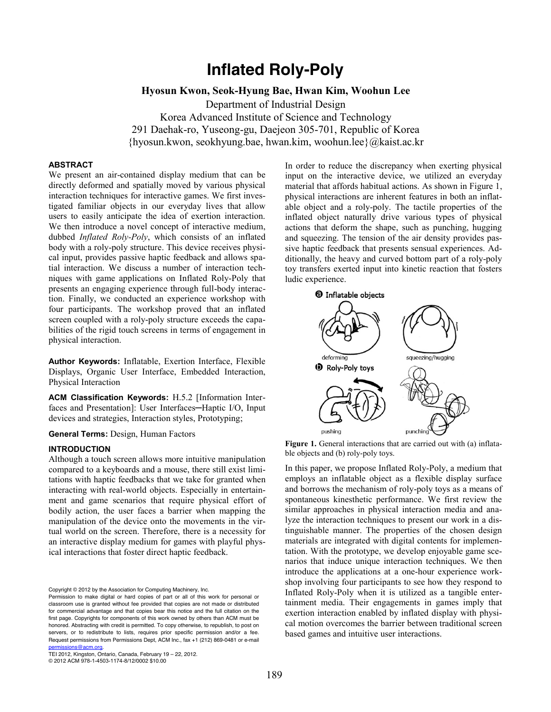# **Inflated Roly-Poly**

## **Hyosun Kwon, Seok-Hyung Bae, Hwan Kim, Woohun Lee**

Department of Industrial Design Korea Advanced Institute of Science and Technology 291 Daehak-ro, Yuseong-gu, Daejeon 305-701, Republic of Korea {hyosun.kwon, seokhyung.bae, hwan.kim, woohun.lee}@kaist.ac.kr

## **ABSTRACT**

We present an air-contained display medium that can be directly deformed and spatially moved by various physical interaction techniques for interactive games. We first investigated familiar objects in our everyday lives that allow users to easily anticipate the idea of exertion interaction. We then introduce a novel concept of interactive medium, dubbed *Inflated Roly-Poly*, which consists of an inflated body with a roly-poly structure. This device receives physical input, provides passive haptic feedback and allows spatial interaction. We discuss a number of interaction techniques with game applications on Inflated Roly-Poly that presents an engaging experience through full-body interaction. Finally, we conducted an experience workshop with four participants. The workshop proved that an inflated screen coupled with a roly-poly structure exceeds the capabilities of the rigid touch screens in terms of engagement in physical interaction.

**Author Keywords:** Inflatable, Exertion Interface, Flexible Displays, Organic User Interface, Embedded Interaction, Physical Interaction

**ACM Classification Keywords:** H.5.2 [Information Interfaces and Presentation]: User Interfaces—Haptic I/O, Input devices and strategies, Interaction styles, Prototyping;

**General Terms:** Design, Human Factors

#### **INTRODUCTION**

Although a touch screen allows more intuitive manipulation compared to a keyboards and a mouse, there still exist limitations with haptic feedbacks that we take for granted when interacting with real-world objects. Especially in entertainment and game scenarios that require physical effort of bodily action, the user faces a barrier when mapping the manipulation of the device onto the movements in the virtual world on the screen. Therefore, there is a necessity for an interactive display medium for games with playful physical interactions that foster direct haptic feedback.

Copyright © 2012 by the Association for Computing Machinery, Inc.

TEI 2012, Kingston, Ontario, Canada, February 19 – 22, 2012. © 2012 ACM 978-1-4503-1174-8/12/0002 \$10.00

In order to reduce the discrepancy when exerting physical input on the interactive device, we utilized an everyday material that affords habitual actions. As shown in [Figure 1,](#page-0-0) physical interactions are inherent features in both an inflatable object and a roly-poly. The tactile properties of the inflated object naturally drive various types of physical actions that deform the shape, such as punching, hugging and squeezing. The tension of the air density provides passive haptic feedback that presents sensual experiences. Additionally, the heavy and curved bottom part of a roly-poly toy transfers exerted input into kinetic reaction that fosters ludic experience.



<span id="page-0-0"></span>**Figure 1.** General interactions that are carried out with (a) inflatable objects and (b) roly-poly toys.

In this paper, we propose Inflated Roly-Poly, a medium that employs an inflatable object as a flexible display surface and borrows the mechanism of roly-poly toys as a means of spontaneous kinesthetic performance. We first review the similar approaches in physical interaction media and analyze the interaction techniques to present our work in a distinguishable manner. The properties of the chosen design materials are integrated with digital contents for implementation. With the prototype, we develop enjoyable game scenarios that induce unique interaction techniques. We then introduce the applications at a one-hour experience workshop involving four participants to see how they respond to Inflated Roly-Poly when it is utilized as a tangible entertainment media. Their engagements in games imply that exertion interaction enabled by inflated display with physical motion overcomes the barrier between traditional screen based games and intuitive user interactions.

Permission to make digital or hard copies of part or all of this work for personal or classroom use is granted without fee provided that copies are not made or distributed for commercial advantage and that copies bear this notice and the full citation on the first page. Copyrights for components of this work owned by others than ACM must be honored. Abstracting with credit is permitted. To copy otherwise, to republish, to post on servers, or to redistribute to lists, requires prior specific permission and/or a fee. Request permissions from Permissions Dept, ACM Inc., fax +1 (212) 869-0481 or e-mail .<br>missions@acm.org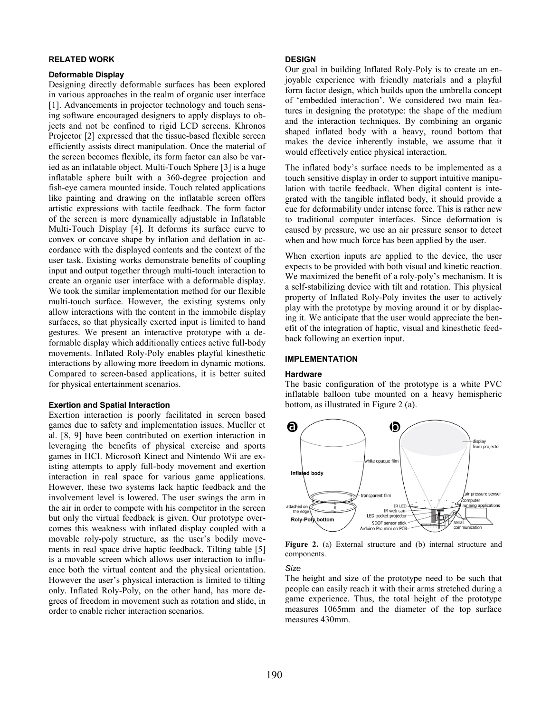#### **RELATED WORK**

#### **Deformable Display**

Designing directly deformable surfaces has been explored in various approaches in the realm of organic user interface [\[1\]](#page-3-0). Advancements in projector technology and touch sensing software encouraged designers to apply displays to objects and not be confined to rigid LCD screens. Khronos Projector [\[2\]](#page-3-1) expressed that the tissue-based flexible screen efficiently assists direct manipulation. Once the material of the screen becomes flexible, its form factor can also be varied as an inflatable object. Multi-Touch Sphere [\[3\]](#page-3-2) is a huge inflatable sphere built with a 360-degree projection and fish-eye camera mounted inside. Touch related applications like painting and drawing on the inflatable screen offers artistic expressions with tactile feedback. The form factor of the screen is more dynamically adjustable in Inflatable Multi-Touch Display [\[4\]](#page-3-3). It deforms its surface curve to convex or concave shape by inflation and deflation in accordance with the displayed contents and the context of the user task. Existing works demonstrate benefits of coupling input and output together through multi-touch interaction to create an organic user interface with a deformable display. We took the similar implementation method for our flexible multi-touch surface. However, the existing systems only allow interactions with the content in the immobile display surfaces, so that physically exerted input is limited to hand gestures. We present an interactive prototype with a deformable display which additionally entices active full-body movements. Inflated Roly-Poly enables playful kinesthetic interactions by allowing more freedom in dynamic motions. Compared to screen-based applications, it is better suited for physical entertainment scenarios.

#### **Exertion and Spatial Interaction**

Exertion interaction is poorly facilitated in screen based games due to safety and implementation issues. Mueller et al. [\[8,](#page-3-4) [9\]](#page-3-5) have been contributed on exertion interaction in leveraging the benefits of physical exercise and sports games in HCI. Microsoft Kinect and Nintendo Wii are existing attempts to apply full-body movement and exertion interaction in real space for various game applications. However, these two systems lack haptic feedback and the involvement level is lowered. The user swings the arm in the air in order to compete with his competitor in the screen but only the virtual feedback is given. Our prototype overcomes this weakness with inflated display coupled with a movable roly-poly structure, as the user's bodily movements in real space drive haptic feedback. Tilting table [\[5\]](#page-3-6) is a movable screen which allows user interaction to influence both the virtual content and the physical orientation. However the user's physical interaction is limited to tilting only. Inflated Roly-Poly, on the other hand, has more degrees of freedom in movement such as rotation and slide, in order to enable richer interaction scenarios.

#### **DESIGN**

Our goal in building Inflated Roly-Poly is to create an enjoyable experience with friendly materials and a playful form factor design, which builds upon the umbrella concept of 'embedded interaction'. We considered two main features in designing the prototype: the shape of the medium and the interaction techniques. By combining an organic shaped inflated body with a heavy, round bottom that makes the device inherently instable, we assume that it would effectively entice physical interaction.

The inflated body's surface needs to be implemented as a touch sensitive display in order to support intuitive manipulation with tactile feedback. When digital content is integrated with the tangible inflated body, it should provide a cue for deformability under intense force. This is rather new to traditional computer interfaces. Since deformation is caused by pressure, we use an air pressure sensor to detect when and how much force has been applied by the user.

When exertion inputs are applied to the device, the user expects to be provided with both visual and kinetic reaction. We maximized the benefit of a roly-poly's mechanism. It is a self-stabilizing device with tilt and rotation. This physical property of Inflated Roly-Poly invites the user to actively play with the prototype by moving around it or by displacing it. We anticipate that the user would appreciate the benefit of the integration of haptic, visual and kinesthetic feedback following an exertion input.

#### **IMPLEMENTATION**

#### **Hardware**

The basic configuration of the prototype is a white PVC inflatable balloon tube mounted on a heavy hemispheric bottom, as illustrated in [Figure 2](#page-1-0) (a).



<span id="page-1-0"></span>**Figure 2.** (a) External structure and (b) internal structure and components.

*Size*

The height and size of the prototype need to be such that people can easily reach it with their arms stretched during a game experience. Thus, the total height of the prototype measures 1065mm and the diameter of the top surface measures 430mm.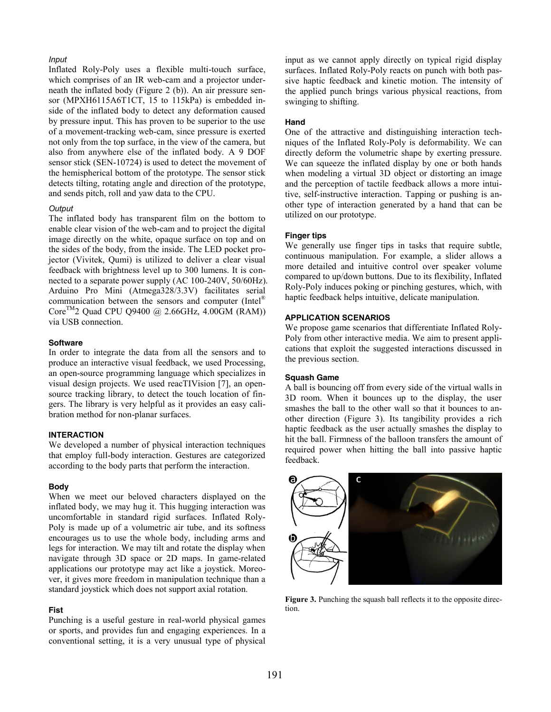### *Input*

Inflated Roly-Poly uses a flexible multi-touch surface, which comprises of an IR web-cam and a projector underneath the inflated body [\(Figure 2](#page-1-0) (b)). An air pressure sensor (MPXH6115A6T1CT, 15 to 115kPa) is embedded inside of the inflated body to detect any deformation caused by pressure input. This has proven to be superior to the use of a movement-tracking web-cam, since pressure is exerted not only from the top surface, in the view of the camera, but also from anywhere else of the inflated body. A 9 DOF sensor stick (SEN-10724) is used to detect the movement of the hemispherical bottom of the prototype. The sensor stick detects tilting, rotating angle and direction of the prototype, and sends pitch, roll and yaw data to the CPU.

#### *Output*

The inflated body has transparent film on the bottom to enable clear vision of the web-cam and to project the digital image directly on the white, opaque surface on top and on the sides of the body, from the inside. The LED pocket projector (Vivitek, Qumi) is utilized to deliver a clear visual feedback with brightness level up to 300 lumens. It is connected to a separate power supply (AC 100-240V, 50/60Hz). Arduino Pro Mini (Atmega328/3.3V) facilitates serial communication between the sensors and computer (Intel® Core<sup>TM</sup>2 Quad CPU Q9400 @ 2.66GHz, 4.00GM (RAM)) via USB connection.

## **Software**

In order to integrate the data from all the sensors and to produce an interactive visual feedback, we used Processing, an open-source programming language which specializes in visual design projects. We used reacTIVision [\[7\]](#page-3-7), an opensource tracking library, to detect the touch location of fingers. The library is very helpful as it provides an easy calibration method for non-planar surfaces.

## **INTERACTION**

We developed a number of physical interaction techniques that employ full-body interaction. Gestures are categorized according to the body parts that perform the interaction.

#### **Body**

When we meet our beloved characters displayed on the inflated body, we may hug it. This hugging interaction was uncomfortable in standard rigid surfaces. Inflated Roly-Poly is made up of a volumetric air tube, and its softness encourages us to use the whole body, including arms and legs for interaction. We may tilt and rotate the display when navigate through 3D space or 2D maps. In game-related applications our prototype may act like a joystick. Moreover, it gives more freedom in manipulation technique than a standard joystick which does not support axial rotation.

#### **Fist**

Punching is a useful gesture in real-world physical games or sports, and provides fun and engaging experiences. In a conventional setting, it is a very unusual type of physical input as we cannot apply directly on typical rigid display surfaces. Inflated Roly-Poly reacts on punch with both passive haptic feedback and kinetic motion. The intensity of the applied punch brings various physical reactions, from swinging to shifting.

## **Hand**

One of the attractive and distinguishing interaction techniques of the Inflated Roly-Poly is deformability. We can directly deform the volumetric shape by exerting pressure. We can squeeze the inflated display by one or both hands when modeling a virtual 3D object or distorting an image and the perception of tactile feedback allows a more intuitive, self-instructive interaction. Tapping or pushing is another type of interaction generated by a hand that can be utilized on our prototype.

#### **Finger tips**

We generally use finger tips in tasks that require subtle, continuous manipulation. For example, a slider allows a more detailed and intuitive control over speaker volume compared to up/down buttons. Due to its flexibility, Inflated Roly-Poly induces poking or pinching gestures, which, with haptic feedback helps intuitive, delicate manipulation.

#### **APPLICATION SCENARIOS**

We propose game scenarios that differentiate Inflated Roly-Poly from other interactive media. We aim to present applications that exploit the suggested interactions discussed in the previous section.

#### **Squash Game**

A ball is bouncing off from every side of the virtual walls in 3D room. When it bounces up to the display, the user smashes the ball to the other wall so that it bounces to another direction [\(Figure 3\)](#page-2-0). Its tangibility provides a rich haptic feedback as the user actually smashes the display to hit the ball. Firmness of the balloon transfers the amount of required power when hitting the ball into passive haptic feedback.

<span id="page-2-0"></span>

**Figure 3.** Punching the squash ball reflects it to the opposite direction.